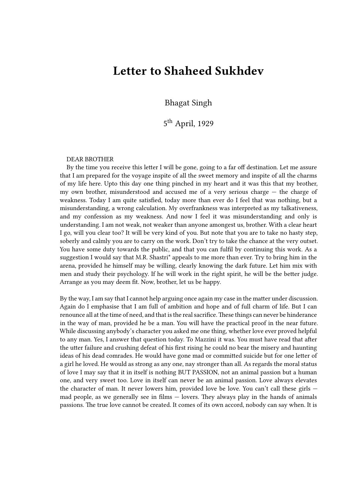## **Letter to Shaheed Sukhdev**

Bhagat Singh

5<sup>th</sup> April, 1929

## DEAR BROTHER

By the time you receive this letter I will be gone, going to a far off destination. Let me assure that I am prepared for the voyage inspite of all the sweet memory and inspite of all the charms of my life here. Upto this day one thing pinched in my heart and it was this that my brother, my own brother, misunderstood and accused me of a very serious charge — the charge of weakness. Today I am quite satisfied, today more than ever do I feel that was nothing, but a misunderstanding, a wrong calculation. My overfrankness was interpreted as my talkativeness, and my confession as my weakness. And now I feel it was misunderstanding and only is understanding. I am not weak, not weaker than anyone amongest us, brother. With a clear heart I go, will you clear too? It will be very kind of you. But note that you are to take no hasty step, soberly and calmly you are to carry on the work. Don't try to take the chance at the very outset. You have some duty towards the public, and that you can fulfil by continuing this work. As a suggestion I would say that M.R. Shastri\* appeals to me more than ever. Try to bring him in the arena, provided he himself may be willing, clearly knowing the dark future. Let him mix with men and study their psychology. If he will work in the right spirit, he will be the better judge. Arrange as you may deem fit. Now, brother, let us be happy.

By the way, I am say that I cannot help arguing once again my case in the matter under discussion. Again do I emphasise that I am full of ambition and hope and of full charm of life. But I can renounce all at the time of need, and that is the real sacrifice.These things can never be hinderance in the way of man, provided he be a man. You will have the practical proof in the near future. While discussing anybody's character you asked me one thing, whether love ever proved helpful to any man. Yes, I answer that question today. To Mazzini it was. You must have read that after the utter failure and crushing defeat of his first rising he could no bear the misery and haunting ideas of his dead comrades. He would have gone mad or committed suicide but for one letter of a girl he loved. He would as strong as any one, nay stronger than all. As regards the moral status of love I may say that it in itself is nothing BUT PASSION, not an animal passion but a human one, and very sweet too. Love in itself can never be an animal passion. Love always elevates the character of man. It never lowers him, provided love be love. You can't call these girls mad people, as we generally see in films — lovers. They always play in the hands of animals passions. The true love cannot be created. It comes of its own accord, nobody can say when. It is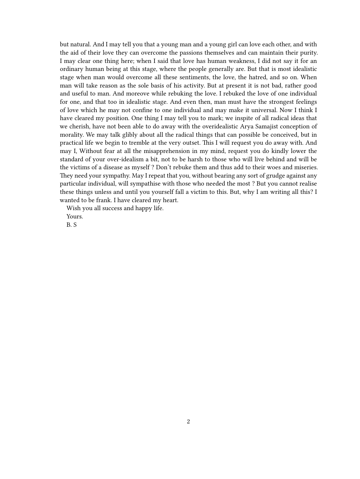but natural. And I may tell you that a young man and a young girl can love each other, and with the aid of their love they can overcome the passions themselves and can maintain their purity. I may clear one thing here; when I said that love has human weakness, I did not say it for an ordinary human being at this stage, where the people generally are. But that is most idealistic stage when man would overcome all these sentiments, the love, the hatred, and so on. When man will take reason as the sole basis of his activity. But at present it is not bad, rather good and useful to man. And moreove while rebuking the love. I rebuked the love of one individual for one, and that too in idealistic stage. And even then, man must have the strongest feelings of love which he may not confine to one individual and may make it universal. Now I think I have cleared my position. One thing I may tell you to mark; we inspite of all radical ideas that we cherish, have not been able to do away with the overidealistic Arya Samajist conception of morality. We may talk glibly about all the radical things that can possible be conceived, but in practical life we begin to tremble at the very outset. This I will request you do away with. And may I, Without fear at all the misapprehension in my mind, request you do kindly lower the standard of your over-idealism a bit, not to be harsh to those who will live behind and will be the victims of a disease as myself ? Don't rebuke them and thus add to their woes and miseries. They need your sympathy. May I repeat that you, without bearing any sort of grudge against any particular individual, will sympathise with those who needed the most ? But you cannot realise these things unless and until you yourself fall a victim to this. But, why I am writing all this? I wanted to be frank. I have cleared my heart.

Wish you all success and happy life.

Yours.

B. S